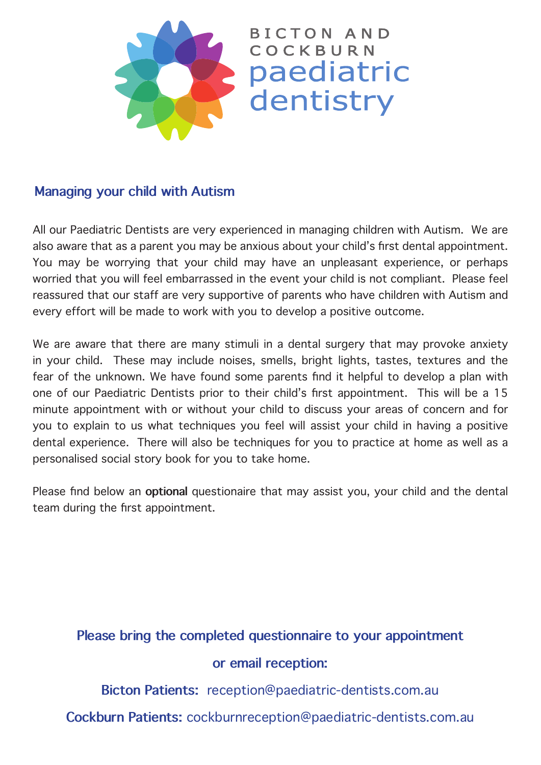

## **Managing your child with Autism**

All our Paediatric Dentists are very experienced in managing children with Autism. We are also aware that as a parent you may be anxious about your child's first dental appointment. You may be worrying that your child may have an unpleasant experience, or perhaps worried that you will feel embarrassed in the event your child is not compliant. Please feel reassured that our staff are very supportive of parents who have children with Autism and every effort will be made to work with you to develop a positive outcome.

We are aware that there are many stimuli in a dental surgery that may provoke anxiety in your child. These may include noises, smells, bright lights, tastes, textures and the fear of the unknown. We have found some parents find it helpful to develop a plan with one of our Paediatric Dentists prior to their child's first appointment. This will be a 15 minute appointment with or without your child to discuss your areas of concern and for you to explain to us what techniques you feel will assist your child in having a positive dental experience. There will also be techniques for you to practice at home as well as a personalised social story book for you to take home.

Please find below an **optional** questionaire that may assist you, your child and the dental team during the first appointment.

## **Please bring the completed questionnaire to your appointment or email reception:**

**Bicton Patients:** reception@paediatric-dentists.com.au

**Cockburn Patients:** cockburnreception@paediatric-dentists.com.au